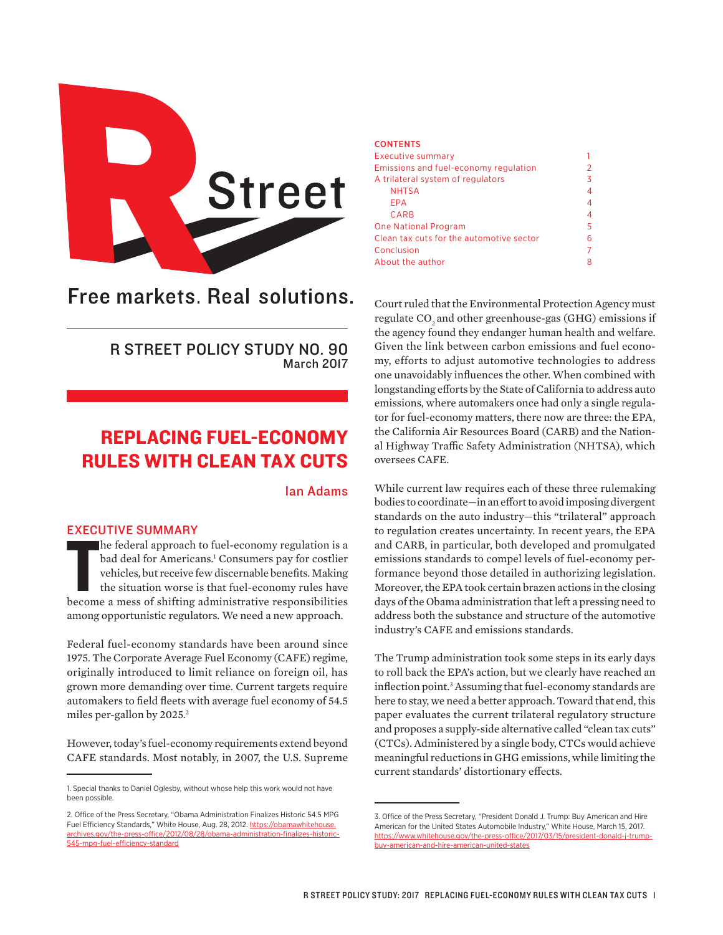

# Free markets. Real solutions.

R STREET POLICY STUDY NO. 90 March 2017

## REPLACING FUEL-ECONOMY RULES WITH CLEAN TAX CUTS

## Ian Adams

#### EXECUTIVE SUMMARY

THE COMMENT COMMENT TO SUMMARY THE COMMENT OF SUMMARY THE REGISTER THE REGISTER THAN A medicine of the situation worse is that fuel-economy rules have become a mess of shifting administrative responsibilities he federal approach to fuel-economy regulation is a bad deal for Americans.<sup>1</sup> Consumers pay for costlier vehicles, but receive few discernable benefits. Making the situation worse is that fuel-economy rules have among opportunistic regulators. We need a new approach.

Federal fuel-economy standards have been around since 1975. The Corporate Average Fuel Economy (CAFE) regime, originally introduced to limit reliance on foreign oil, has grown more demanding over time. Current targets require automakers to field fleets with average fuel economy of 54.5 miles per-gallon by 2025.<sup>2</sup>

However, today's fuel-economy requirements extend beyond CAFE standards. Most notably, in 2007, the U.S. Supreme

#### **CONTENTS**

| <b>Executive summary</b>                 |   |
|------------------------------------------|---|
| Emissions and fuel-economy regulation    | 2 |
| A trilateral system of regulators        | 3 |
| <b>NHTSA</b>                             | 4 |
| FPA                                      | 4 |
| <b>CARB</b>                              | 4 |
| <b>One National Program</b>              | 5 |
| Clean tax cuts for the automotive sector | 6 |
| Conclusion                               | 7 |
| About the author                         | 8 |
|                                          |   |

Court ruled that the Environmental Protection Agency must regulate CO<sub>2</sub> and other greenhouse-gas (GHG) emissions if the agency found they endanger human health and welfare. Given the link between carbon emissions and fuel economy, efforts to adjust automotive technologies to address one unavoidably influences the other. When combined with longstanding efforts by the State of California to address auto emissions, where automakers once had only a single regulator for fuel-economy matters, there now are three: the EPA, the California Air Resources Board (CARB) and the National Highway Traffic Safety Administration (NHTSA), which oversees CAFE.

While current law requires each of these three rulemaking bodies to coordinate—in an effort to avoid imposing divergent standards on the auto industry—this "trilateral" approach to regulation creates uncertainty. In recent years, the EPA and CARB, in particular, both developed and promulgated emissions standards to compel levels of fuel-economy performance beyond those detailed in authorizing legislation. Moreover, the EPA took certain brazen actions in the closing days of the Obama administration that left a pressing need to address both the substance and structure of the automotive industry's CAFE and emissions standards.

The Trump administration took some steps in its early days to roll back the EPA's action, but we clearly have reached an inflection point.3 Assuming that fuel-economy standards are here to stay, we need a better approach. Toward that end, this paper evaluates the current trilateral regulatory structure and proposes a supply-side alternative called "clean tax cuts" (CTCs). Administered by a single body, CTCs would achieve meaningful reductions in GHG emissions, while limiting the current standards' distortionary effects.

<sup>1.</sup> Special thanks to Daniel Oglesby, without whose help this work would not have been possible.

<sup>2.</sup> Office of the Press Secretary, "Obama Administration Finalizes Historic 54.5 MPG Fuel Efficiency Standards," White House, Aug. 28, 2012. [https://obamawhitehouse.](https://obamawhitehouse.archives.gov/the-press-office/2012/08/28/obama-administration-finalizes-historic-545-mpg-fuel-efficiency-standard) [archives.gov/the-press-office/2012/08/28/obama-administration-finalizes-historic-](https://obamawhitehouse.archives.gov/the-press-office/2012/08/28/obama-administration-finalizes-historic-545-mpg-fuel-efficiency-standard)[545-mpg-fuel-efficiency-standard](https://obamawhitehouse.archives.gov/the-press-office/2012/08/28/obama-administration-finalizes-historic-545-mpg-fuel-efficiency-standard)

<sup>3.</sup> Office of the Press Secretary, "President Donald J. Trump: Buy American and Hire American for the United States Automobile Industry," White House, March 15, 2017. [https://www.whitehouse.gov/the-press-office/2017/03/15/president-donald-j-trump](https://www.whitehouse.gov/the-press-office/2017/03/15/president-donald-j-trump-buy-american-and-hire-american-united-states)[buy-american-and-hire-american-united-states](https://www.whitehouse.gov/the-press-office/2017/03/15/president-donald-j-trump-buy-american-and-hire-american-united-states)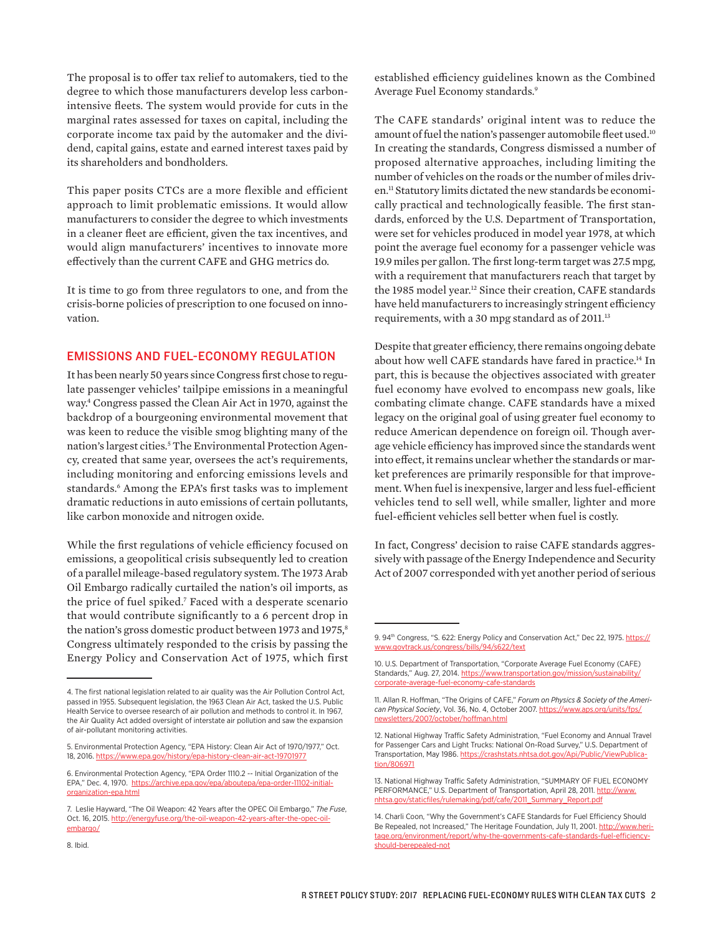The proposal is to offer tax relief to automakers, tied to the degree to which those manufacturers develop less carbonintensive fleets. The system would provide for cuts in the marginal rates assessed for taxes on capital, including the corporate income tax paid by the automaker and the dividend, capital gains, estate and earned interest taxes paid by its shareholders and bondholders.

This paper posits CTCs are a more flexible and efficient approach to limit problematic emissions. It would allow manufacturers to consider the degree to which investments in a cleaner fleet are efficient, given the tax incentives, and would align manufacturers' incentives to innovate more effectively than the current CAFE and GHG metrics do.

It is time to go from three regulators to one, and from the crisis-borne policies of prescription to one focused on innovation.

## EMISSIONS AND FUEL-ECONOMY REGULATION

It has been nearly 50 years since Congress first chose to regulate passenger vehicles' tailpipe emissions in a meaningful way.4 Congress passed the Clean Air Act in 1970, against the backdrop of a bourgeoning environmental movement that was keen to reduce the visible smog blighting many of the nation's largest cities.<sup>5</sup> The Environmental Protection Agency, created that same year, oversees the act's requirements, including monitoring and enforcing emissions levels and standards.6 Among the EPA's first tasks was to implement dramatic reductions in auto emissions of certain pollutants, like carbon monoxide and nitrogen oxide.

While the first regulations of vehicle efficiency focused on emissions, a geopolitical crisis subsequently led to creation of a parallel mileage-based regulatory system. The 1973 Arab Oil Embargo radically curtailed the nation's oil imports, as the price of fuel spiked.7 Faced with a desperate scenario that would contribute significantly to a 6 percent drop in the nation's gross domestic product between 1973 and 1975,<sup>8</sup> Congress ultimately responded to the crisis by passing the Energy Policy and Conservation Act of 1975, which first established efficiency guidelines known as the Combined Average Fuel Economy standards.9

The CAFE standards' original intent was to reduce the amount of fuel the nation's passenger automobile fleet used.<sup>10</sup> In creating the standards, Congress dismissed a number of proposed alternative approaches, including limiting the number of vehicles on the roads or the number of miles driven.11 Statutory limits dictated the new standards be economically practical and technologically feasible. The first standards, enforced by the U.S. Department of Transportation, were set for vehicles produced in model year 1978, at which point the average fuel economy for a passenger vehicle was 19.9 miles per gallon. The first long-term target was 27.5 mpg, with a requirement that manufacturers reach that target by the 1985 model year.<sup>12</sup> Since their creation, CAFE standards have held manufacturers to increasingly stringent efficiency requirements, with a 30 mpg standard as of 2011.<sup>13</sup>

Despite that greater efficiency, there remains ongoing debate about how well CAFE standards have fared in practice.14 In part, this is because the objectives associated with greater fuel economy have evolved to encompass new goals, like combating climate change. CAFE standards have a mixed legacy on the original goal of using greater fuel economy to reduce American dependence on foreign oil. Though average vehicle efficiency has improved since the standards went into effect, it remains unclear whether the standards or market preferences are primarily responsible for that improvement. When fuel is inexpensive, larger and less fuel-efficient vehicles tend to sell well, while smaller, lighter and more fuel-efficient vehicles sell better when fuel is costly.

In fact, Congress' decision to raise CAFE standards aggressively with passage of the Energy Independence and Security Act of 2007 corresponded with yet another period of serious

<sup>4.</sup> The first national legislation related to air quality was the Air Pollution Control Act, passed in 1955. Subsequent legislation, the 1963 Clean Air Act, tasked the U.S. Public Health Service to oversee research of air pollution and methods to control it. In 1967, the Air Quality Act added oversight of interstate air pollution and saw the expansion of air-pollutant monitoring activities.

<sup>5.</sup> Environmental Protection Agency, "EPA History: Clean Air Act of 1970/1977," Oct. 18, 2016.<https://www.epa.gov/history/epa-history-clean-air-act-19701977>

<sup>6.</sup> Environmental Protection Agency, "EPA Order 1110.2 -- Initial Organization of the EPA," Dec. 4, 1970. [https://archive.epa.gov/epa/aboutepa/epa-order-11102-initial](https://archive.epa.gov/epa/aboutepa/epa-order-11102-initial-organization-epa.html)[organization-epa.html](https://archive.epa.gov/epa/aboutepa/epa-order-11102-initial-organization-epa.html)

<sup>7.</sup> Leslie Hayward, "The Oil Weapon: 42 Years after the OPEC Oil Embargo," *The Fuse*, Oct. 16, 2015. [http://energyfuse.org/the-oil-weapon-42-years-after-the-opec-oil](http://energyfuse.org/the-oil-weapon-42-years-after-the-opec-oil-embargo/)[embargo/](http://energyfuse.org/the-oil-weapon-42-years-after-the-opec-oil-embargo/)

<sup>9. 94&</sup>lt;sup>th</sup> Congress, "S. 622: Energy Policy and Conservation Act," Dec 22, 1975. [https://](https://www.govtrack.us/congress/bills/94/s622/text) [www.govtrack.us/congress/bills/94/s622/text](https://www.govtrack.us/congress/bills/94/s622/text)

<sup>10.</sup> U.S. Department of Transportation, "Corporate Average Fuel Economy (CAFE) Standards," Aug. 27, 2014. [https://www.transportation.gov/mission/sustainability/](https://www.transportation.gov/mission/sustainability/corporate-average-fuel-economy-cafe-standards) [corporate-average-fuel-economy-cafe-standards](https://www.transportation.gov/mission/sustainability/corporate-average-fuel-economy-cafe-standards)

<sup>11.</sup> Allan R. Hoffman, "The Origins of CAFE," *Forum on Physics & Society of the American Physical Society*, Vol. 36, No. 4, October 2007. [https://www.aps.org/units/fps/](https://www.aps.org/units/fps/newsletters/2007/october/hoffman.html) [newsletters/2007/october/hoffman.html](https://www.aps.org/units/fps/newsletters/2007/october/hoffman.html)

<sup>12.</sup> National Highway Traffic Safety Administration, "Fuel Economy and Annual Travel for Passenger Cars and Light Trucks: National On-Road Survey," U.S. Department of Transportation, May 1986. [https://crashstats.nhtsa.dot.gov/Api/Public/ViewPublica](https://crashstats.nhtsa.dot.gov/Api/Public/ViewPublication/806971)[tion/806971](https://crashstats.nhtsa.dot.gov/Api/Public/ViewPublication/806971)

<sup>13.</sup> National Highway Traffic Safety Administration, "SUMMARY OF FUEL ECONOMY PERFORMANCE," U.S. Department of Transportation, April 28, 2011. [http://www.](http://www.nhtsa.gov/staticfiles/rulemaking/pdf/cafe/2011_Summary_Report.pdf) [nhtsa.gov/staticfiles/rulemaking/pdf/cafe/2011\\_Summary\\_Report.pdf](http://www.nhtsa.gov/staticfiles/rulemaking/pdf/cafe/2011_Summary_Report.pdf)

<sup>14.</sup> Charli Coon, "Why the Government's CAFE Standards for Fuel Efficiency Should Be Repealed, not Increased," The Heritage Foundation, July 11, 2001. [http://www.heri](http://www.heritage.org/environment/report/why-the-governments-cafe-standards-fuel-efficiency-should-berepealed-not)[tage.org/environment/report/why-the-governments-cafe-standards-fuel-efficiency](http://www.heritage.org/environment/report/why-the-governments-cafe-standards-fuel-efficiency-should-berepealed-not)[should-berepealed-not](http://www.heritage.org/environment/report/why-the-governments-cafe-standards-fuel-efficiency-should-berepealed-not)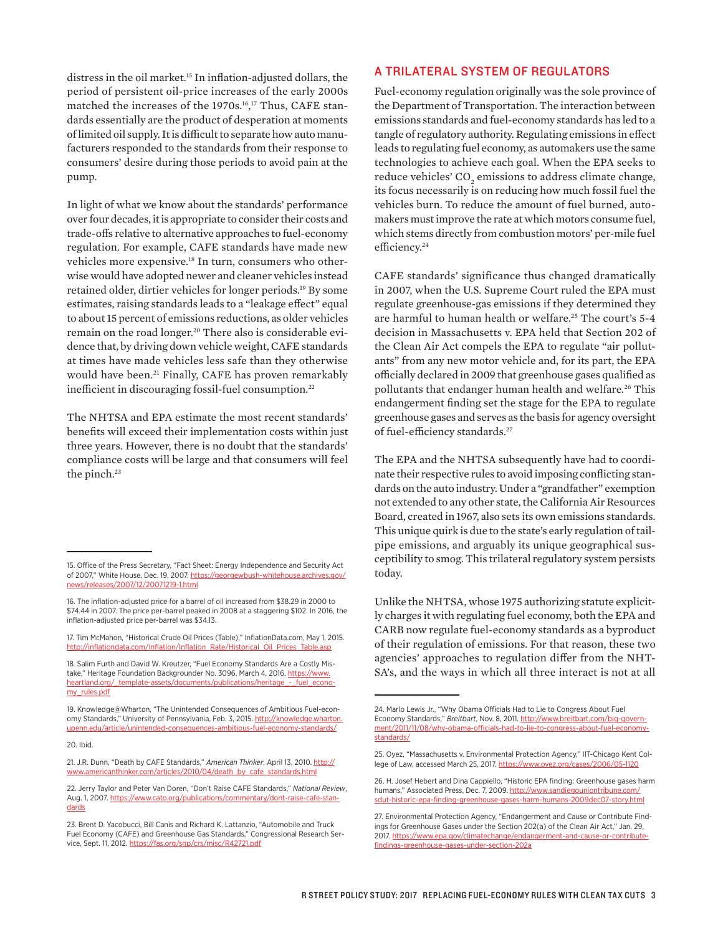distress in the oil market.15 In inflation-adjusted dollars, the period of persistent oil-price increases of the early 2000s matched the increases of the 1970s.16, 17 Thus, CAFE standards essentially are the product of desperation at moments of limited oil supply. It is difficult to separate how auto manufacturers responded to the standards from their response to consumers' desire during those periods to avoid pain at the pump.

In light of what we know about the standards' performance over four decades, it is appropriate to consider their costs and trade-offs relative to alternative approaches to fuel-economy regulation. For example, CAFE standards have made new vehicles more expensive.18 In turn, consumers who otherwise would have adopted newer and cleaner vehicles instead retained older, dirtier vehicles for longer periods.19 By some estimates, raising standards leads to a "leakage effect" equal to about 15 percent of emissions reductions, as older vehicles remain on the road longer.<sup>20</sup> There also is considerable evidence that, by driving down vehicle weight, CAFE standards at times have made vehicles less safe than they otherwise would have been.<sup>21</sup> Finally, CAFE has proven remarkably inefficient in discouraging fossil-fuel consumption.<sup>22</sup>

The NHTSA and EPA estimate the most recent standards' benefits will exceed their implementation costs within just three years. However, there is no doubt that the standards' compliance costs will be large and that consumers will feel the pinch.<sup>23</sup>

## A TRILATERAL SYSTEM OF REGULATORS

Fuel-economy regulation originally was the sole province of the Department of Transportation. The interaction between emissions standards and fuel-economy standards has led to a tangle of regulatory authority. Regulating emissions in effect leads to regulating fuel economy, as automakers use the same technologies to achieve each goal. When the EPA seeks to reduce vehicles'  $\mathrm{CO}_\mathrm{2}$  emissions to address climate change, its focus necessarily is on reducing how much fossil fuel the vehicles burn. To reduce the amount of fuel burned, automakers must improve the rate at which motors consume fuel, which stems directly from combustion motors' per-mile fuel efficiency.<sup>24</sup>

CAFE standards' significance thus changed dramatically in 2007, when the U.S. Supreme Court ruled the EPA must regulate greenhouse-gas emissions if they determined they are harmful to human health or welfare.<sup>25</sup> The court's 5-4 decision in Massachusetts v. EPA held that Section 202 of the Clean Air Act compels the EPA to regulate "air pollutants" from any new motor vehicle and, for its part, the EPA officially declared in 2009 that greenhouse gases qualified as pollutants that endanger human health and welfare.<sup>26</sup> This endangerment finding set the stage for the EPA to regulate greenhouse gases and serves as the basis for agency oversight of fuel-efficiency standards.27

The EPA and the NHTSA subsequently have had to coordinate their respective rules to avoid imposing conflicting standards on the auto industry. Under a "grandfather" exemption not extended to any other state, the California Air Resources Board, created in 1967, also sets its own emissions standards. This unique quirk is due to the state's early regulation of tailpipe emissions, and arguably its unique geographical susceptibility to smog. This trilateral regulatory system persists today.

Unlike the NHTSA, whose 1975 authorizing statute explicitly charges it with regulating fuel economy, both the EPA and CARB now regulate fuel-economy standards as a byproduct of their regulation of emissions. For that reason, these two agencies' approaches to regulation differ from the NHT-SA's, and the ways in which all three interact is not at all

<sup>15.</sup> Office of the Press Secretary, "Fact Sheet: Energy Independence and Security Act of 2007," White House, Dec. 19, 2007. [https://georgewbush-whitehouse.archives.gov/](https://georgewbush-whitehouse.archives.gov/news/releases/2007/12/20071219-1.html) [news/releases/2007/12/20071219-1.html](https://georgewbush-whitehouse.archives.gov/news/releases/2007/12/20071219-1.html)

<sup>16.</sup> The inflation-adjusted price for a barrel of oil increased from \$38.29 in 2000 to \$74.44 in 2007. The price per-barrel peaked in 2008 at a staggering \$102. In 2016, the inflation-adjusted price per-barrel was \$34.13.

<sup>17.</sup> Tim McMahon, "Historical Crude Oil Prices (Table)," InflationData.com, May 1, 2015. http://inflationdata.com/Inflation/Inflation\_Rate/Historical\_Oil\_Prices

<sup>18.</sup> Salim Furth and David W. Kreutzer, "Fuel Economy Standards Are a Costly Mistake," Heritage Foundation Backgrounder No. 3096, March 4, 2016. [https://www.](https://www.heartland.org/_template-assets/documents/publications/heritage_-_fuel_economy_rules.pdf) [heartland.org/\\_template-assets/documents/publications/heritage\\_-\\_fuel\\_econo](https://www.heartland.org/_template-assets/documents/publications/heritage_-_fuel_economy_rules.pdf)[my\\_rules.pdf](https://www.heartland.org/_template-assets/documents/publications/heritage_-_fuel_economy_rules.pdf)

<sup>19.</sup> Knowledge@Wharton, "The Unintended Consequences of Ambitious Fuel-economy Standards," University of Pennsylvania, Feb. 3, 2015. http://knowledge.wharton. upenn.edu/article/unintended-consequences-ambitious-fuel-economy-standards/

<sup>20.</sup> Ibid.

<sup>21.</sup> J.R. Dunn, "Death by CAFE Standards," American Thinker, April 13, 2010. [http://](http://www.americanthinker.com/articles/2010/04/death_by_cafe_standards.html) [www.americanthinker.com/articles/2010/04/death\\_by\\_cafe\\_standards.html](http://www.americanthinker.com/articles/2010/04/death_by_cafe_standards.html)

<sup>22.</sup> Jerry Taylor and Peter Van Doren, "Don't Raise CAFE Standards," *National Review*, Aug. 1, 2007. [https://www.cato.org/publications/commentary/dont-raise-cafe-stan](https://www.cato.org/publications/commentary/dont-raise-cafe-standards)[dards](https://www.cato.org/publications/commentary/dont-raise-cafe-standards)

<sup>23.</sup> Brent D. Yacobucci, Bill Canis and Richard K. Lattanzio, "Automobile and Truck Fuel Economy (CAFE) and Greenhouse Gas Standards," Congressional Research Service, Sept. 11, 2012. <https://fas.org/sgp/crs/misc/R42721.pdf>

<sup>24.</sup> Marlo Lewis Jr., "Why Obama Officials Had to Lie to Congress About Fuel Economy Standards," *Breitbart*, Nov. 8, 2011. [http://www.breitbart.com/big-govern](http://www.breitbart.com/big-government/2011/11/08/why-obama-officials-had-to-lie-to-congress-about-fuel-economy-standards/)[ment/2011/11/08/why-obama-officials-had-to-lie-to-congress-about-fuel-economy](http://www.breitbart.com/big-government/2011/11/08/why-obama-officials-had-to-lie-to-congress-about-fuel-economy-standards/)[standards/](http://www.breitbart.com/big-government/2011/11/08/why-obama-officials-had-to-lie-to-congress-about-fuel-economy-standards/)

<sup>25.</sup> Oyez, "Massachusetts v. Environmental Protection Agency," IIT-Chicago Kent College of Law, accessed March 25, 2017.<https://www.oyez.org/cases/2006/05-1120>

<sup>26.</sup> H. Josef Hebert and Dina Cappiello, "Historic EPA finding: Greenhouse gases harm humans," Associated Press, Dec. 7, 2009. [http://www.sandiegouniontribune.com/](http://www.sandiegouniontribune.com/sdut-historic-epa-finding-greenhouse-gases-harm-humans-2009dec07-story.html) [sdut-historic-epa-finding-greenhouse-gases-harm-humans-2009dec07-story.html](http://www.sandiegouniontribune.com/sdut-historic-epa-finding-greenhouse-gases-harm-humans-2009dec07-story.html)

<sup>27.</sup> Environmental Protection Agency, "Endangerment and Cause or Contribute Findings for Greenhouse Gases under the Section 202(a) of the Clean Air Act," Jan. 29, 2017. [https://www.epa.gov/climatechange/endangerment-and-cause-or-contribute](https://www.epa.gov/climatechange/endangerment-and-cause-or-contribute-findings-greenhouse-gases-under-section-202a)[findings-greenhouse-gases-under-section-202a](https://www.epa.gov/climatechange/endangerment-and-cause-or-contribute-findings-greenhouse-gases-under-section-202a)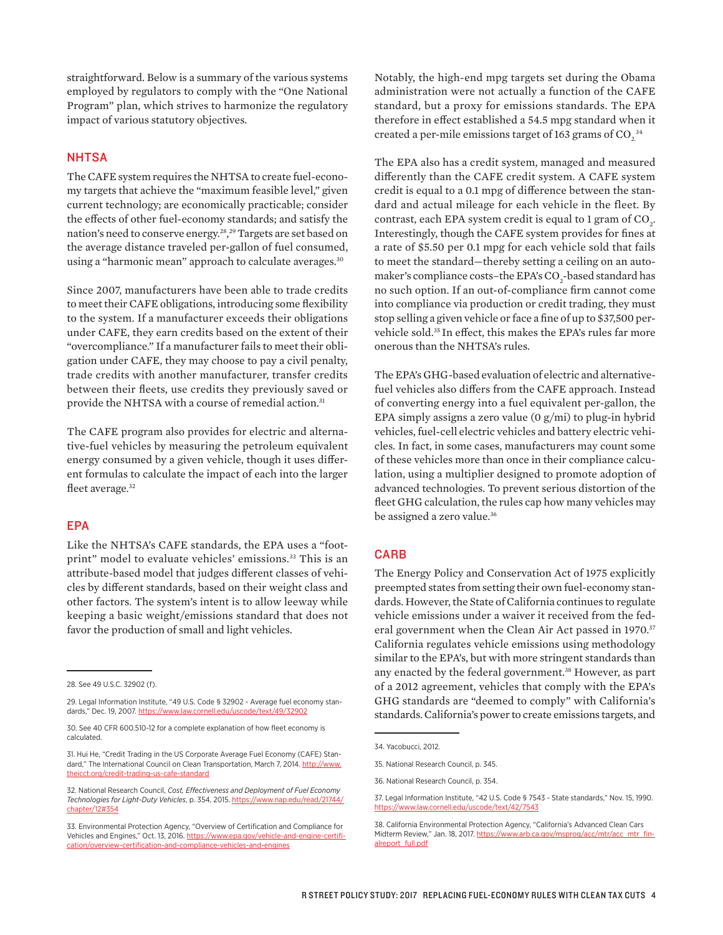straightforward. Below is a summary of the various systems employed by regulators to comply with the "One National Program" plan, which strives to harmonize the regulatory impact of various statutory objectives.

#### **NHTSA**

The CAFE system requires the NHTSA to create fuel-economy targets that achieve the "maximum feasible level," given current technology; are economically practicable; consider the effects of other fuel-economy standards; and satisfy the nation's need to conserve energy.28, 29 Targets are set based on the average distance traveled per-gallon of fuel consumed, using a "harmonic mean" approach to calculate averages.<sup>30</sup>

Since 2007, manufacturers have been able to trade credits to meet their CAFE obligations, introducing some flexibility to the system. If a manufacturer exceeds their obligations under CAFE, they earn credits based on the extent of their "overcompliance." If a manufacturer fails to meet their obligation under CAFE, they may choose to pay a civil penalty, trade credits with another manufacturer, transfer credits between their fleets, use credits they previously saved or provide the NHTSA with a course of remedial action.<sup>31</sup>

The CAFE program also provides for electric and alternative-fuel vehicles by measuring the petroleum equivalent energy consumed by a given vehicle, though it uses different formulas to calculate the impact of each into the larger fleet average.<sup>32</sup>

## EPA

Like the NHTSA's CAFE standards, the EPA uses a "footprint" model to evaluate vehicles' emissions.<sup>33</sup> This is an attribute-based model that judges different classes of vehicles by different standards, based on their weight class and other factors. The system's intent is to allow leeway while keeping a basic weight/emissions standard that does not favor the production of small and light vehicles.

Notably, the high-end mpg targets set during the Obama administration were not actually a function of the CAFE standard, but a proxy for emissions standards. The EPA therefore in effect established a 54.5 mpg standard when it created a per-mile emissions target of 163 grams of CO $_2^{\,\rm 34}$ 

The EPA also has a credit system, managed and measured differently than the CAFE credit system. A CAFE system credit is equal to a 0.1 mpg of difference between the standard and actual mileage for each vehicle in the fleet. By contrast, each EPA system credit is equal to 1 gram of  $\mathrm{CO}_2^2$ . Interestingly, though the CAFE system provides for fines at a rate of \$5.50 per 0.1 mpg for each vehicle sold that fails to meet the standard—thereby setting a ceiling on an automaker's compliance costs–the EPA's CO<sub>2</sub>-based standard has no such option. If an out-of-compliance firm cannot come into compliance via production or credit trading, they must stop selling a given vehicle or face a fine of up to \$37,500 pervehicle sold.35 In effect, this makes the EPA's rules far more onerous than the NHTSA's rules.

The EPA's GHG-based evaluation of electric and alternativefuel vehicles also differs from the CAFE approach. Instead of converting energy into a fuel equivalent per-gallon, the EPA simply assigns a zero value  $(0 g/min)$  to plug-in hybrid vehicles, fuel-cell electric vehicles and battery electric vehicles. In fact, in some cases, manufacturers may count some of these vehicles more than once in their compliance calculation, using a multiplier designed to promote adoption of advanced technologies. To prevent serious distortion of the fleet GHG calculation, the rules cap how many vehicles may be assigned a zero value.<sup>36</sup>

#### **CARB**

The Energy Policy and Conservation Act of 1975 explicitly preempted states from setting their own fuel-economy standards. However, the State of California continues to regulate vehicle emissions under a waiver it received from the federal government when the Clean Air Act passed in 1970.<sup>37</sup> California regulates vehicle emissions using methodology similar to the EPA's, but with more stringent standards than any enacted by the federal government.<sup>38</sup> However, as part of a 2012 agreement, vehicles that comply with the EPA's GHG standards are "deemed to comply" with California's standards. California's power to create emissions targets, and

<sup>28.</sup> See 49 U.S.C. 32902 (f).

<sup>29.</sup> Legal Information Institute, "49 U.S. Code § 32902 - Average fuel economy standards," Dec. 19, 2007.<https://www.law.cornell.edu/uscode/text/49/32902>

<sup>30.</sup> See 40 CFR 600.510-12 for a complete explanation of how fleet economy is calculated.

<sup>31.</sup> Hui He, "Credit Trading in the US Corporate Average Fuel Economy (CAFE) Standard," The International Council on Clean Transportation, March 7, 2014. [http://www.](http://www.theicct.org/credit-trading-us-cafe-standard) [theicct.org/credit-trading-us-cafe-standard](http://www.theicct.org/credit-trading-us-cafe-standard)

<sup>32.</sup> National Research Council, *Cost, Effectiveness and Deployment of Fuel Economy Technologies for Light-Duty Vehicles*, p. 354, 2015. [https://www.nap.edu/read/21744/](https://www.nap.edu/read/21744/chapter/12#354) [chapter/12#354](https://www.nap.edu/read/21744/chapter/12#354)

<sup>33.</sup> Environmental Protection Agency, "Overview of Certification and Compliance for Vehicles and Engines," Oct. 13, 2016. [https://www.epa.gov/vehicle-and-engine-certifi](https://www.epa.gov/vehicle-and-engine-certification/overview-certification-and-compliance-vehicles-and-engines)[cation/overview-certification-and-compliance-vehicles-and-engines](https://www.epa.gov/vehicle-and-engine-certification/overview-certification-and-compliance-vehicles-and-engines)

<sup>34.</sup> Yacobucci, 2012.

<sup>35.</sup> National Research Council, p. 345.

<sup>36.</sup> National Research Council, p. 354.

<sup>37.</sup> Legal Information Institute, "42 U.S. Code § 7543 - State standards," Nov. 15, 1990. <https://www.law.cornell.edu/uscode/text/42/7543>

<sup>38.</sup> California Environmental Protection Agency, "California's Advanced Clean Cars Midterm Review," Jan. 18, 2017. [https://www.arb.ca.gov/msprog/acc/mtr/acc\\_mtr\\_fin](https://www.arb.ca.gov/msprog/acc/mtr/acc_mtr_finalreport_full.pdf)[alreport\\_full.pdf](https://www.arb.ca.gov/msprog/acc/mtr/acc_mtr_finalreport_full.pdf)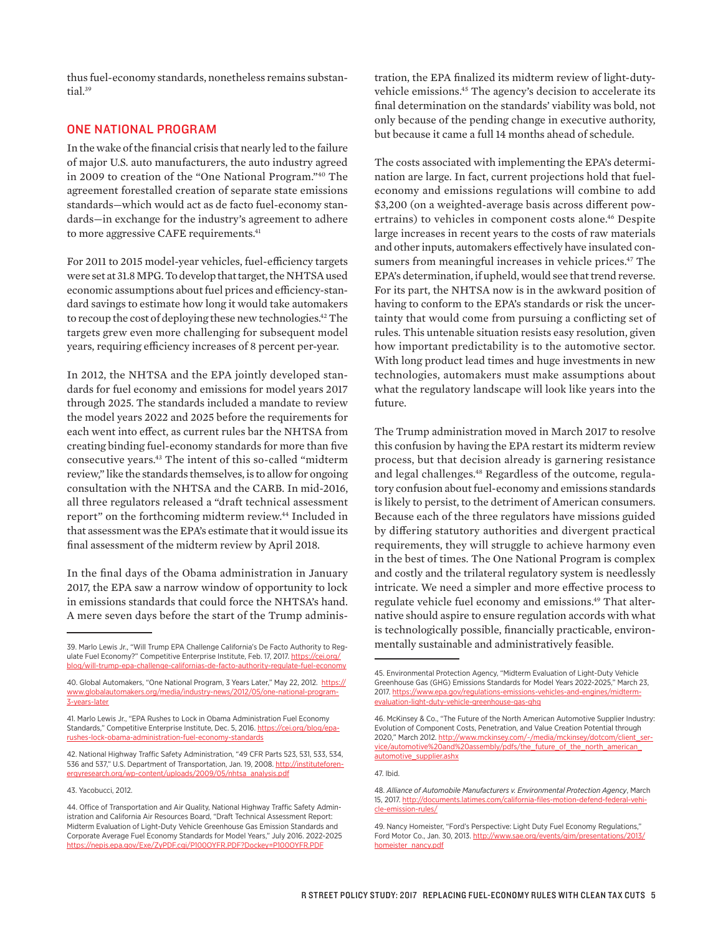thus fuel-economy standards, nonetheless remains substantial.<sup>39</sup>

## ONE NATIONAL PROGRAM

In the wake of the financial crisis that nearly led to the failure of major U.S. auto manufacturers, the auto industry agreed in 2009 to creation of the "One National Program."40 The agreement forestalled creation of separate state emissions standards—which would act as de facto fuel-economy standards—in exchange for the industry's agreement to adhere to more aggressive CAFE requirements.<sup>41</sup>

For 2011 to 2015 model-year vehicles, fuel-efficiency targets were set at 31.8 MPG. To develop that target, the NHTSA used economic assumptions about fuel prices and efficiency-standard savings to estimate how long it would take automakers to recoup the cost of deploying these new technologies.<sup>42</sup> The targets grew even more challenging for subsequent model years, requiring efficiency increases of 8 percent per-year.

In 2012, the NHTSA and the EPA jointly developed standards for fuel economy and emissions for model years 2017 through 2025. The standards included a mandate to review the model years 2022 and 2025 before the requirements for each went into effect, as current rules bar the NHTSA from creating binding fuel-economy standards for more than five consecutive years.43 The intent of this so-called "midterm review," like the standards themselves, is to allow for ongoing consultation with the NHTSA and the CARB. In mid-2016, all three regulators released a "draft technical assessment report" on the forthcoming midterm review.<sup>44</sup> Included in that assessment was the EPA's estimate that it would issue its final assessment of the midterm review by April 2018.

In the final days of the Obama administration in January 2017, the EPA saw a narrow window of opportunity to lock in emissions standards that could force the NHTSA's hand. A mere seven days before the start of the Trump adminis-

tration, the EPA finalized its midterm review of light-dutyvehicle emissions.45 The agency's decision to accelerate its final determination on the standards' viability was bold, not only because of the pending change in executive authority, but because it came a full 14 months ahead of schedule.

The costs associated with implementing the EPA's determination are large. In fact, current projections hold that fueleconomy and emissions regulations will combine to add \$3,200 (on a weighted-average basis across different powertrains) to vehicles in component costs alone.<sup>46</sup> Despite large increases in recent years to the costs of raw materials and other inputs, automakers effectively have insulated consumers from meaningful increases in vehicle prices.<sup>47</sup> The EPA's determination, if upheld, would see that trend reverse. For its part, the NHTSA now is in the awkward position of having to conform to the EPA's standards or risk the uncertainty that would come from pursuing a conflicting set of rules. This untenable situation resists easy resolution, given how important predictability is to the automotive sector. With long product lead times and huge investments in new technologies, automakers must make assumptions about what the regulatory landscape will look like years into the future.

The Trump administration moved in March 2017 to resolve this confusion by having the EPA restart its midterm review process, but that decision already is garnering resistance and legal challenges.48 Regardless of the outcome, regulatory confusion about fuel-economy and emissions standards is likely to persist, to the detriment of American consumers. Because each of the three regulators have missions guided by differing statutory authorities and divergent practical requirements, they will struggle to achieve harmony even in the best of times. The One National Program is complex and costly and the trilateral regulatory system is needlessly intricate. We need a simpler and more effective process to regulate vehicle fuel economy and emissions.49 That alternative should aspire to ensure regulation accords with what is technologically possible, financially practicable, environmentally sustainable and administratively feasible.

47. Ibid.

<sup>39.</sup> Marlo Lewis Jr., "Will Trump EPA Challenge California's De Facto Authority to Regulate Fuel Economy?" Competitive Enterprise Institute, Feb. 17, 2017. [https://cei.org/](https://cei.org/blog/will-trump-epa-challenge-californias-de-facto-authority-regulate-fuel-economy) [blog/will-trump-epa-challenge-californias-de-facto-authority-regulate-fuel-economy](https://cei.org/blog/will-trump-epa-challenge-californias-de-facto-authority-regulate-fuel-economy)

<sup>40.</sup> Global Automakers, "One National Program, 3 Years Later," May 22, 2012. [https://](https://www.globalautomakers.org/media/industry-news/2012/05/one-national-program-3-years-later) [www.globalautomakers.org/media/industry-news/2012/05/one-national-program-](https://www.globalautomakers.org/media/industry-news/2012/05/one-national-program-3-years-later)[3-years-later](https://www.globalautomakers.org/media/industry-news/2012/05/one-national-program-3-years-later)

<sup>41.</sup> Marlo Lewis Jr., "EPA Rushes to Lock in Obama Administration Fuel Economy Standards," Competitive Enterprise Institute, Dec. 5, 2016. [https://cei.org/blog/epa](https://cei.org/blog/epa-rushes-lock-obama-administration-fuel-economy-standards)[rushes-lock-obama-administration-fuel-economy-standards](https://cei.org/blog/epa-rushes-lock-obama-administration-fuel-economy-standards)

<sup>42.</sup> National Highway Traffic Safety Administration, "49 CFR Parts 523, 531, 533, 534, 536 and 537," U.S. Department of Transportation, Jan. 19, 2008. [http://instituteforen](http://instituteforenergyresearch.org/wp-content/uploads/2009/05/nhtsa_analysis.pdf)[ergyresearch.org/wp-content/uploads/2009/05/nhtsa\\_analysis.pdf](http://instituteforenergyresearch.org/wp-content/uploads/2009/05/nhtsa_analysis.pdf)

<sup>43.</sup> Yacobucci, 2012.

<sup>44.</sup> Office of Transportation and Air Quality, National Highway Traffic Safety Administration and California Air Resources Board, "Draft Technical Assessment Report: Midterm Evaluation of Light-Duty Vehicle Greenhouse Gas Emission Standards and Corporate Average Fuel Economy Standards for Model Years," July 2016. 2022-2025 <https://nepis.epa.gov/Exe/ZyPDF.cgi/P100OYFR.PDF?Dockey=P100OYFR.PDF>

<sup>45.</sup> Environmental Protection Agency, "Midterm Evaluation of Light-Duty Vehicle Greenhouse Gas (GHG) Emissions Standards for Model Years 2022-2025," March 23, 2017. [https://www.epa.gov/regulations-emissions-vehicles-and-engines/midterm](https://www.epa.gov/regulations-emissions-vehicles-and-engines/midterm-evaluation-light-duty-vehicle-greenhouse-gas-ghg)[evaluation-light-duty-vehicle-greenhouse-gas-ghg](https://www.epa.gov/regulations-emissions-vehicles-and-engines/midterm-evaluation-light-duty-vehicle-greenhouse-gas-ghg)

<sup>46.</sup> McKinsey & Co., "The Future of the North American Automotive Supplier Industry: Evolution of Component Costs, Penetration, and Value Creation Potential through 2020," March 2012. [http://www.mckinsey.com/~/media/mckinsey/dotcom/client\\_ser](http://www.mckinsey.com/~/media/mckinsey/dotcom/client_service/automotive%20and%20assembly/pdfs/the_future_of_the_north_american_automotive_supplier.ashx)[vice/automotive%20and%20assembly/pdfs/the\\_future\\_of\\_the\\_north\\_american\\_](http://www.mckinsey.com/~/media/mckinsey/dotcom/client_service/automotive%20and%20assembly/pdfs/the_future_of_the_north_american_automotive_supplier.ashx) [automotive\\_supplier.ashx](http://www.mckinsey.com/~/media/mckinsey/dotcom/client_service/automotive%20and%20assembly/pdfs/the_future_of_the_north_american_automotive_supplier.ashx)

<sup>48.</sup> *Alliance of Automobile Manufacturers v. Environmental Protection Agency*, March 15, 2017. [http://documents.latimes.com/california-files-motion-defend-federal-vehi](http://documents.latimes.com/california-files-motion-defend-federal-vehicle-emission-rules/)[cle-emission-rules/](http://documents.latimes.com/california-files-motion-defend-federal-vehicle-emission-rules/)

<sup>49.</sup> Nancy Homeister, "Ford's Perspective: Light Duty Fuel Economy Regulations," Ford Motor Co., Jan. 30, 2013. [http://www.sae.org/events/gim/presentations/2013/](http://www.sae.org/events/gim/presentations/2013/homeister_nancy.pdf) [homeister\\_nancy.pdf](http://www.sae.org/events/gim/presentations/2013/homeister_nancy.pdf)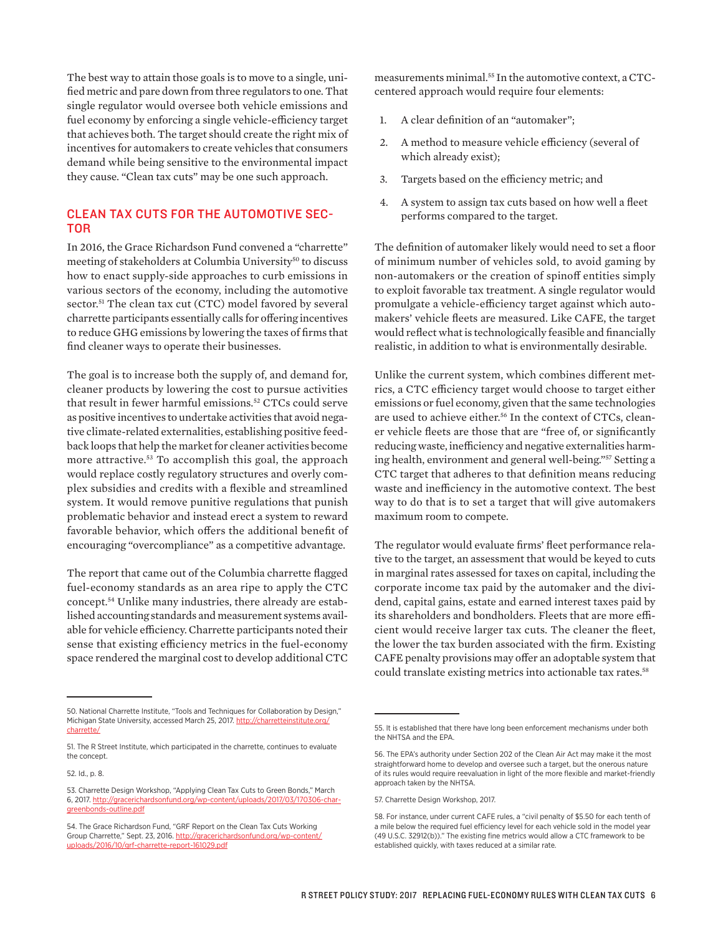The best way to attain those goals is to move to a single, unified metric and pare down from three regulators to one. That single regulator would oversee both vehicle emissions and fuel economy by enforcing a single vehicle-efficiency target that achieves both. The target should create the right mix of incentives for automakers to create vehicles that consumers demand while being sensitive to the environmental impact they cause. "Clean tax cuts" may be one such approach.

## CLEAN TAX CUTS FOR THE AUTOMOTIVE SEC-TOR

In 2016, the Grace Richardson Fund convened a "charrette" meeting of stakeholders at Columbia University<sup>50</sup> to discuss how to enact supply-side approaches to curb emissions in various sectors of the economy, including the automotive sector.<sup>51</sup> The clean tax cut (CTC) model favored by several charrette participants essentially calls for offering incentives to reduce GHG emissions by lowering the taxes of firms that find cleaner ways to operate their businesses.

The goal is to increase both the supply of, and demand for, cleaner products by lowering the cost to pursue activities that result in fewer harmful emissions.<sup>52</sup> CTCs could serve as positive incentives to undertake activities that avoid negative climate-related externalities, establishing positive feedback loops that help the market for cleaner activities become more attractive.<sup>53</sup> To accomplish this goal, the approach would replace costly regulatory structures and overly complex subsidies and credits with a flexible and streamlined system. It would remove punitive regulations that punish problematic behavior and instead erect a system to reward favorable behavior, which offers the additional benefit of encouraging "overcompliance" as a competitive advantage.

The report that came out of the Columbia charrette flagged fuel-economy standards as an area ripe to apply the CTC concept.54 Unlike many industries, there already are established accounting standards and measurement systems available for vehicle efficiency. Charrette participants noted their sense that existing efficiency metrics in the fuel-economy space rendered the marginal cost to develop additional CTC

52. Id., p. 8.

measurements minimal.55 In the automotive context, a CTCcentered approach would require four elements:

- 1. A clear definition of an "automaker";
- 2. A method to measure vehicle efficiency (several of which already exist);
- 3. Targets based on the efficiency metric; and
- 4. A system to assign tax cuts based on how well a fleet performs compared to the target.

The definition of automaker likely would need to set a floor of minimum number of vehicles sold, to avoid gaming by non-automakers or the creation of spinoff entities simply to exploit favorable tax treatment. A single regulator would promulgate a vehicle-efficiency target against which automakers' vehicle fleets are measured. Like CAFE, the target would reflect what is technologically feasible and financially realistic, in addition to what is environmentally desirable.

Unlike the current system, which combines different metrics, a CTC efficiency target would choose to target either emissions or fuel economy, given that the same technologies are used to achieve either.<sup>56</sup> In the context of CTCs, cleaner vehicle fleets are those that are "free of, or significantly reducing waste, inefficiency and negative externalities harming health, environment and general well-being."57 Setting a CTC target that adheres to that definition means reducing waste and inefficiency in the automotive context. The best way to do that is to set a target that will give automakers maximum room to compete.

The regulator would evaluate firms' fleet performance relative to the target, an assessment that would be keyed to cuts in marginal rates assessed for taxes on capital, including the corporate income tax paid by the automaker and the dividend, capital gains, estate and earned interest taxes paid by its shareholders and bondholders. Fleets that are more efficient would receive larger tax cuts. The cleaner the fleet, the lower the tax burden associated with the firm. Existing CAFE penalty provisions may offer an adoptable system that could translate existing metrics into actionable tax rates.<sup>58</sup>

<sup>50.</sup> National Charrette Institute, "Tools and Techniques for Collaboration by Design," Michigan State University, accessed March 25, 2017. [http://charretteinstitute.org/](http://charretteinstitute.org/charrette/) [charrette/](http://charretteinstitute.org/charrette/)

<sup>51.</sup> The R Street Institute, which participated in the charrette, continues to evaluate the concept.

<sup>53.</sup> Charrette Design Workshop, "Applying Clean Tax Cuts to Green Bonds," March 6, 2017. [http://gracerichardsonfund.org/wp-content/uploads/2017/03/170306-char](http://gracerichardsonfund.org/wp-content/uploads/2017/03/170306-char-greenbonds-outline.pdf)[greenbonds-outline.pdf](http://gracerichardsonfund.org/wp-content/uploads/2017/03/170306-char-greenbonds-outline.pdf)

<sup>54.</sup> The Grace Richardson Fund, "GRF Report on the Clean Tax Cuts Working Group Charrette," Sept. 23, 2016. [http://gracerichardsonfund.org/wp-content/](http://gracerichardsonfund.org/wp-content/uploads/2016/10/grf-charrette-report-161029.pdf) [uploads/2016/10/grf-charrette-report-161029.pdf](http://gracerichardsonfund.org/wp-content/uploads/2016/10/grf-charrette-report-161029.pdf)

<sup>55.</sup> It is established that there have long been enforcement mechanisms under both the NHTSA and the EPA.

<sup>56.</sup> The EPA's authority under Section 202 of the Clean Air Act may make it the most straightforward home to develop and oversee such a target, but the onerous nature of its rules would require reevaluation in light of the more flexible and market-friendly approach taken by the NHTSA.

<sup>57.</sup> Charrette Design Workshop, 2017.

<sup>58.</sup> For instance, under current CAFE rules, a "civil penalty of \$5.50 for each tenth of a mile below the required fuel efficiency level for each vehicle sold in the model year (49 U.S.C. 32912(b))." The existing fine metrics would allow a CTC framework to be established quickly, with taxes reduced at a similar rate.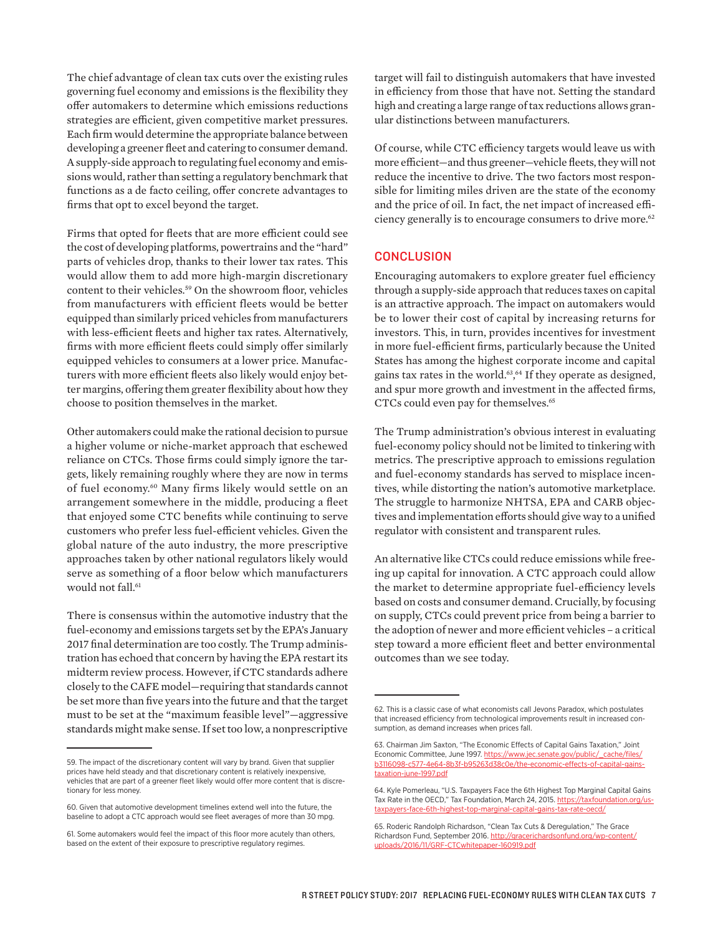The chief advantage of clean tax cuts over the existing rules governing fuel economy and emissions is the flexibility they offer automakers to determine which emissions reductions strategies are efficient, given competitive market pressures. Each firm would determine the appropriate balance between developing a greener fleet and catering to consumer demand. A supply-side approach to regulating fuel economy and emissions would, rather than setting a regulatory benchmark that functions as a de facto ceiling, offer concrete advantages to firms that opt to excel beyond the target.

Firms that opted for fleets that are more efficient could see the cost of developing platforms, powertrains and the "hard" parts of vehicles drop, thanks to their lower tax rates. This would allow them to add more high-margin discretionary content to their vehicles.<sup>59</sup> On the showroom floor, vehicles from manufacturers with efficient fleets would be better equipped than similarly priced vehicles from manufacturers with less-efficient fleets and higher tax rates. Alternatively, firms with more efficient fleets could simply offer similarly equipped vehicles to consumers at a lower price. Manufacturers with more efficient fleets also likely would enjoy better margins, offering them greater flexibility about how they choose to position themselves in the market.

Other automakers could make the rational decision to pursue a higher volume or niche-market approach that eschewed reliance on CTCs. Those firms could simply ignore the targets, likely remaining roughly where they are now in terms of fuel economy.60 Many firms likely would settle on an arrangement somewhere in the middle, producing a fleet that enjoyed some CTC benefits while continuing to serve customers who prefer less fuel-efficient vehicles. Given the global nature of the auto industry, the more prescriptive approaches taken by other national regulators likely would serve as something of a floor below which manufacturers would not fall.<sup>61</sup>

There is consensus within the automotive industry that the fuel-economy and emissions targets set by the EPA's January 2017 final determination are too costly. The Trump administration has echoed that concern by having the EPA restart its midterm review process. However, if CTC standards adhere closely to the CAFE model—requiring that standards cannot be set more than five years into the future and that the target must to be set at the "maximum feasible level"—aggressive standards might make sense. If set too low, a nonprescriptive

target will fail to distinguish automakers that have invested in efficiency from those that have not. Setting the standard high and creating a large range of tax reductions allows granular distinctions between manufacturers.

Of course, while CTC efficiency targets would leave us with more efficient—and thus greener—vehicle fleets, they will not reduce the incentive to drive. The two factors most responsible for limiting miles driven are the state of the economy and the price of oil. In fact, the net impact of increased efficiency generally is to encourage consumers to drive more.<sup>62</sup>

## **CONCLUSION**

Encouraging automakers to explore greater fuel efficiency through a supply-side approach that reduces taxes on capital is an attractive approach. The impact on automakers would be to lower their cost of capital by increasing returns for investors. This, in turn, provides incentives for investment in more fuel-efficient firms, particularly because the United States has among the highest corporate income and capital gains tax rates in the world.63, 64 If they operate as designed, and spur more growth and investment in the affected firms, CTCs could even pay for themselves.<sup>65</sup>

The Trump administration's obvious interest in evaluating fuel-economy policy should not be limited to tinkering with metrics. The prescriptive approach to emissions regulation and fuel-economy standards has served to misplace incentives, while distorting the nation's automotive marketplace. The struggle to harmonize NHTSA, EPA and CARB objectives and implementation efforts should give way to a unified regulator with consistent and transparent rules.

An alternative like CTCs could reduce emissions while freeing up capital for innovation. A CTC approach could allow the market to determine appropriate fuel-efficiency levels based on costs and consumer demand. Crucially, by focusing on supply, CTCs could prevent price from being a barrier to the adoption of newer and more efficient vehicles – a critical step toward a more efficient fleet and better environmental outcomes than we see today.

<sup>59.</sup> The impact of the discretionary content will vary by brand. Given that supplier prices have held steady and that discretionary content is relatively inexpensive, vehicles that are part of a greener fleet likely would offer more content that is discretionary for less money.

<sup>60.</sup> Given that automotive development timelines extend well into the future, the baseline to adopt a CTC approach would see fleet averages of more than 30 mpg.

<sup>61.</sup> Some automakers would feel the impact of this floor more acutely than others, based on the extent of their exposure to prescriptive regulatory regimes.

<sup>62.</sup> This is a classic case of what economists call Jevons Paradox, which postulates that increased efficiency from technological improvements result in increased consumption, as demand increases when prices fall.

<sup>63.</sup> Chairman Jim Saxton, "The Economic Effects of Capital Gains Taxation," Joint Economic Committee, June 1997. [https://www.jec.senate.gov/public/\\_cache/files/](https://www.jec.senate.gov/public/_cache/files/b3116098-c577-4e64-8b3f-b95263d38c0e/the-economic-effects-of-capital-gains-taxation-june-1997.pdf) [b3116098-c577-4e64-8b3f-b95263d38c0e/the-economic-effects-of-capital-gains](https://www.jec.senate.gov/public/_cache/files/b3116098-c577-4e64-8b3f-b95263d38c0e/the-economic-effects-of-capital-gains-taxation-june-1997.pdf)[taxation-june-1997.pdf](https://www.jec.senate.gov/public/_cache/files/b3116098-c577-4e64-8b3f-b95263d38c0e/the-economic-effects-of-capital-gains-taxation-june-1997.pdf)

<sup>64.</sup> Kyle Pomerleau, "U.S. Taxpayers Face the 6th Highest Top Marginal Capital Gains Tax Rate in the OECD," Tax Foundation, March 24, 2015. [https://taxfoundation.org/us](https://taxfoundation.org/us-taxpayers-face-6th-highest-top-marginal-capital-gains-tax-rate-oecd/)[taxpayers-face-6th-highest-top-marginal-capital-gains-tax-rate-oecd/](https://taxfoundation.org/us-taxpayers-face-6th-highest-top-marginal-capital-gains-tax-rate-oecd/)

<sup>65.</sup> Roderic Randolph Richardson, "Clean Tax Cuts & Deregulation," The Grace Richardson Fund, September 2016. [http://gracerichardsonfund.org/wp-content/](http://gracerichardsonfund.org/wp-content/uploads/2016/11/GRF-CTCwhitepaper-160919.pdf) [uploads/2016/11/GRF-CTCwhitepaper-160919.pdf](http://gracerichardsonfund.org/wp-content/uploads/2016/11/GRF-CTCwhitepaper-160919.pdf)